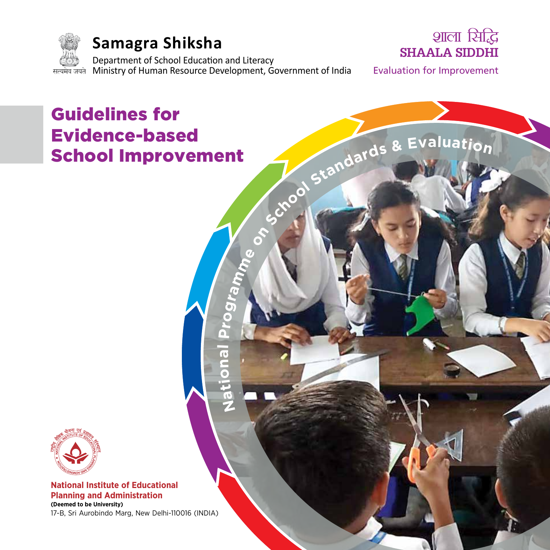

# **Samagra Shiksha**

Department of School Education and Literacy Ministry of Human Resource Development, Government of India

> **N a t oi n**

**al P**

**rog**

**ramme**

**on**



Evaluation for Improvement

**standards & Evaluation** 

# Guidelines for Evidence-based School Improvement



**National Institute of Educational Planning and Administration (Deemed to be University)** 17-B, Sri Aurobindo Marg, New Delhi-110016 (INDIA)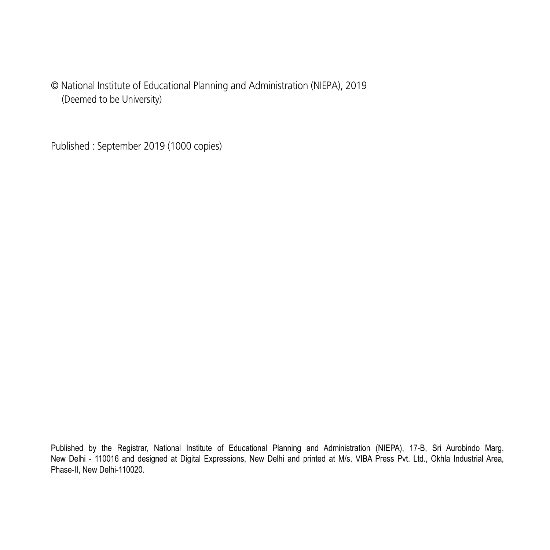### © National Institute of Educational Planning and Administration (NIEPA), 2019 (Deemed to be University)

Published : September 2019 (1000 copies)

Published by the Registrar, National Institute of Educational Planning and Administration (NIEPA), 17-B, Sri Aurobindo Marg, New Delhi - 110016 and designed at Digital Expressions, New Delhi and printed at M/s. VIBA Press Pvt. Ltd., Okhla Industrial Area, Phase-II, New Delhi-110020.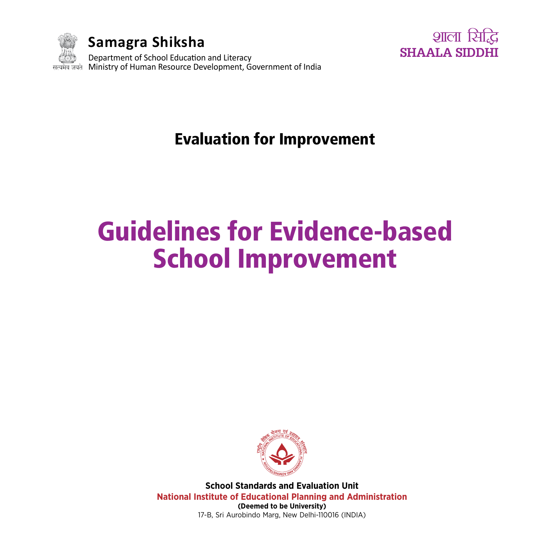

Department of School Education and Literacy सत्यमेव जयते Ministry of Human Resource Development, Government of India



Evaluation for Improvement

# Guidelines for Evidence-based School Improvement



**School Standards and Evaluation Unit National Institute of Educational Planning and Administration (Deemed to be University)** 17-B, Sri Aurobindo Marg, New Delhi-110016 (INDIA)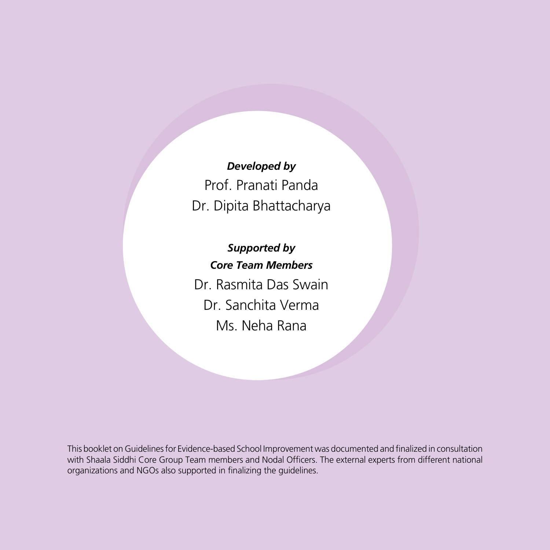*Developed by* Prof. Pranati Panda Dr. Dipita Bhattacharya

*Supported by Core Team Members* Dr. Rasmita Das Swain Dr. Sanchita Verma Ms. Neha Rana

This booklet on Guidelines for Evidence-based School Improvement was documented and finalized in consultation with Shaala Siddhi Core Group Team members and Nodal Officers. The external experts from different national organizations and NGOs also supported in finalizing the guidelines.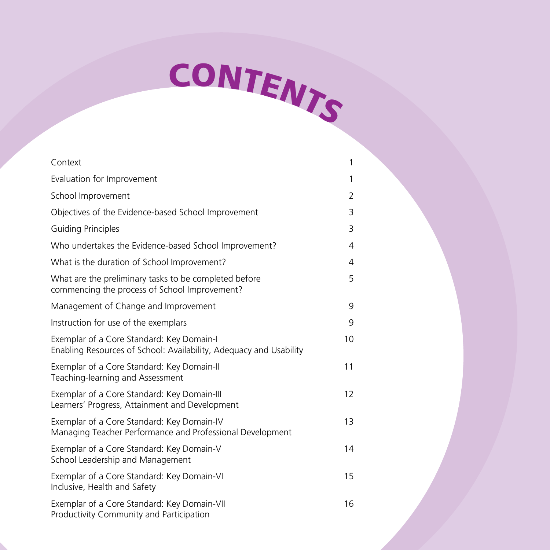

| Context                                                                                                         | 1              |
|-----------------------------------------------------------------------------------------------------------------|----------------|
| Evaluation for Improvement                                                                                      | 1              |
| School Improvement                                                                                              | 2              |
| Objectives of the Evidence-based School Improvement                                                             | 3              |
| <b>Guiding Principles</b>                                                                                       | 3              |
| Who undertakes the Evidence-based School Improvement?                                                           | $\overline{4}$ |
| What is the duration of School Improvement?                                                                     | 4              |
| What are the preliminary tasks to be completed before<br>commencing the process of School Improvement?          | 5              |
| Management of Change and Improvement                                                                            | 9              |
| Instruction for use of the exemplars                                                                            | 9              |
| Exemplar of a Core Standard: Key Domain-I<br>Enabling Resources of School: Availability, Adequacy and Usability | 10             |
| Exemplar of a Core Standard: Key Domain-II<br>Teaching-learning and Assessment                                  | 11             |
| Exemplar of a Core Standard: Key Domain-III<br>Learners' Progress, Attainment and Development                   | 12             |
| Exemplar of a Core Standard: Key Domain-IV<br>Managing Teacher Performance and Professional Development         | 13             |
| Exemplar of a Core Standard: Key Domain-V<br>School Leadership and Management                                   | 14             |
| Exemplar of a Core Standard: Key Domain-VI<br>Inclusive, Health and Safety                                      | 15             |
| Exemplar of a Core Standard: Key Domain-VII<br>Productivity Community and Participation                         | 16             |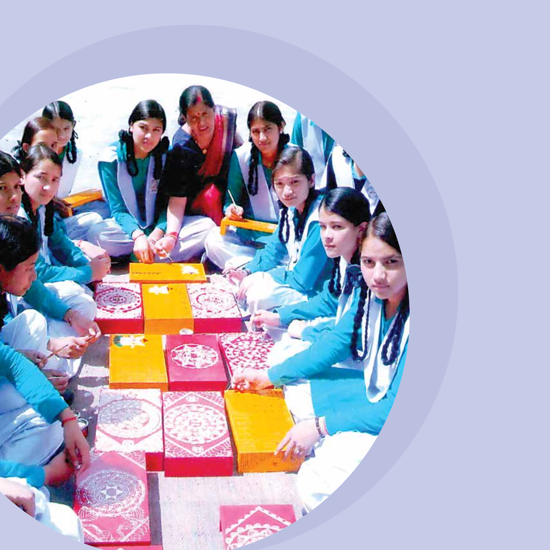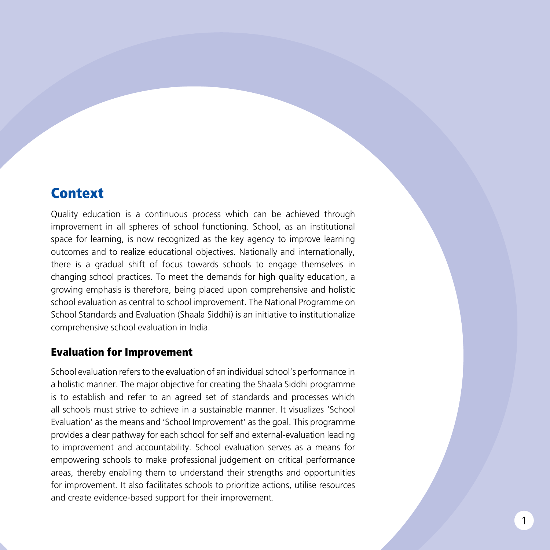## **Context**

Quality education is a continuous process which can be achieved through improvement in all spheres of school functioning. School, as an institutional space for learning, is now recognized as the key agency to improve learning outcomes and to realize educational objectives. Nationally and internationally, there is a gradual shift of focus towards schools to engage themselves in changing school practices. To meet the demands for high quality education, a growing emphasis is therefore, being placed upon comprehensive and holistic school evaluation as central to school improvement. The National Programme on School Standards and Evaluation (Shaala Siddhi) is an initiative to institutionalize comprehensive school evaluation in India.

### Evaluation for Improvement

School evaluation refers to the evaluation of an individual school's performance in a holistic manner. The major objective for creating the Shaala Siddhi programme is to establish and refer to an agreed set of standards and processes which all schools must strive to achieve in a sustainable manner. It visualizes 'School Evaluation' as the means and 'School Improvement' as the goal. This programme provides a clear pathway for each school for self and external-evaluation leading to improvement and accountability. School evaluation serves as a means for empowering schools to make professional judgement on critical performance areas, thereby enabling them to understand their strengths and opportunities for improvement. It also facilitates schools to prioritize actions, utilise resources and create evidence-based support for their improvement.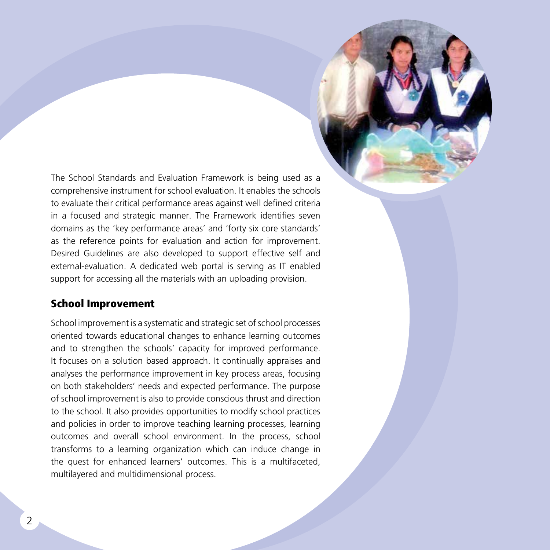The School Standards and Evaluation Framework is being used as a comprehensive instrument for school evaluation. It enables the schools to evaluate their critical performance areas against well defined criteria in a focused and strategic manner. The Framework identifies seven domains as the 'key performance areas' and 'forty six core standards' as the reference points for evaluation and action for improvement. Desired Guidelines are also developed to support effective self and external-evaluation. A dedicated web portal is serving as IT enabled support for accessing all the materials with an uploading provision.

### School Improvement

School improvement is a systematic and strategic set of school processes oriented towards educational changes to enhance learning outcomes and to strengthen the schools' capacity for improved performance. It focuses on a solution based approach. It continually appraises and analyses the performance improvement in key process areas, focusing on both stakeholders' needs and expected performance. The purpose of school improvement is also to provide conscious thrust and direction to the school. It also provides opportunities to modify school practices and policies in order to improve teaching learning processes, learning outcomes and overall school environment. In the process, school transforms to a learning organization which can induce change in the quest for enhanced learners' outcomes. This is a multifaceted, multilayered and multidimensional process.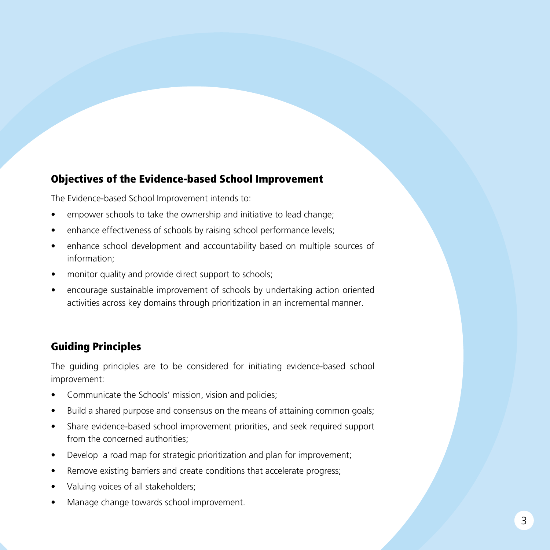### Objectives of the Evidence-based School Improvement

The Evidence-based School Improvement intends to:

- empower schools to take the ownership and initiative to lead change;
- enhance effectiveness of schools by raising school performance levels;
- enhance school development and accountability based on multiple sources of information;
- monitor quality and provide direct support to schools;
- encourage sustainable improvement of schools by undertaking action oriented activities across key domains through prioritization in an incremental manner.

### Guiding Principles

The guiding principles are to be considered for initiating evidence-based school improvement:

- Communicate the Schools' mission, vision and policies;
- Build a shared purpose and consensus on the means of attaining common goals;
- Share evidence-based school improvement priorities, and seek required support from the concerned authorities;
- Develop a road map for strategic prioritization and plan for improvement;
- Remove existing barriers and create conditions that accelerate progress;
- Valuing voices of all stakeholders;
- Manage change towards school improvement.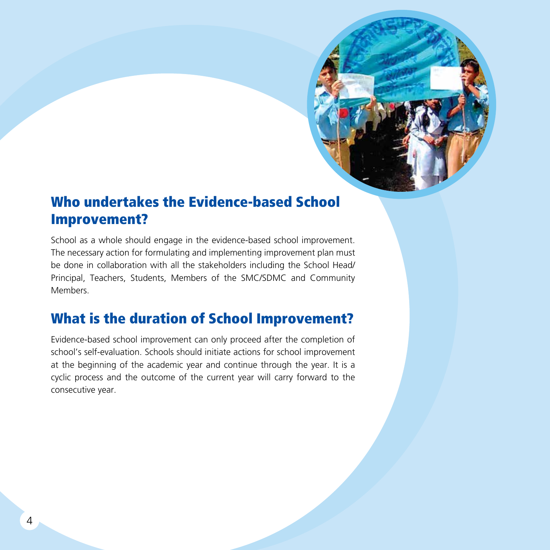

# Who undertakes the Evidence-based School Improvement?

School as a whole should engage in the evidence-based school improvement. The necessary action for formulating and implementing improvement plan must be done in collaboration with all the stakeholders including the School Head/ Principal, Teachers, Students, Members of the SMC/SDMC and Community Members.

# What is the duration of School Improvement?

Evidence-based school improvement can only proceed after the completion of school's self-evaluation. Schools should initiate actions for school improvement at the beginning of the academic year and continue through the year. It is a cyclic process and the outcome of the current year will carry forward to the consecutive year.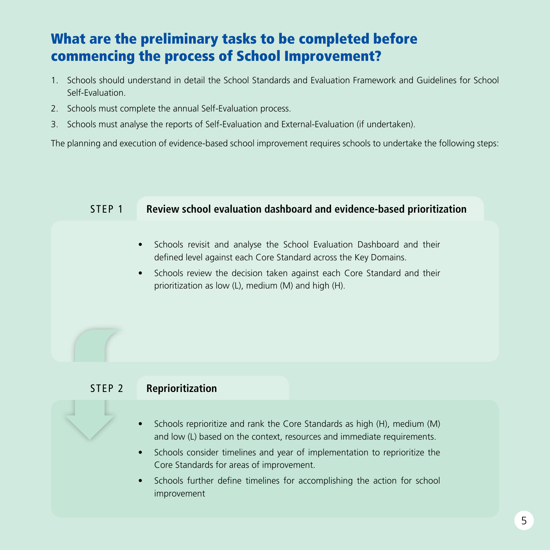# What are the preliminary tasks to be completed before commencing the process of School Improvement?

- 1. Schools should understand in detail the School Standards and Evaluation Framework and Guidelines for School Self-Evaluation.
- 2. Schools must complete the annual Self-Evaluation process.
- 3. Schools must analyse the reports of Self-Evaluation and External-Evaluation (if undertaken).

The planning and execution of evidence-based school improvement requires schools to undertake the following steps:

#### **Review school evaluation dashboard and evidence-based prioritization** STEP 1

- Schools revisit and analyse the School Evaluation Dashboard and their defined level against each Core Standard across the Key Domains.
- Schools review the decision taken against each Core Standard and their prioritization as low (L), medium (M) and high (H).

#### **Reprioritization** STEP 2

- Schools reprioritize and rank the Core Standards as high (H), medium (M) and low (L) based on the context, resources and immediate requirements.
- Schools consider timelines and year of implementation to reprioritize the Core Standards for areas of improvement.
- Schools further define timelines for accomplishing the action for school improvement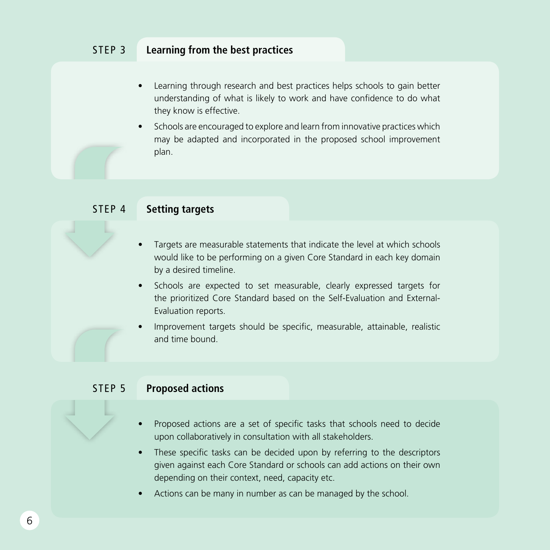- Learning through research and best practices helps schools to gain better understanding of what is likely to work and have confidence to do what they know is effective.
- Schools are encouraged to explore and learn from innovative practices which may be adapted and incorporated in the proposed school improvement plan.

#### **Setting targets** STEP 4

- Targets are measurable statements that indicate the level at which schools would like to be performing on a given Core Standard in each key domain by a desired timeline.
- Schools are expected to set measurable, clearly expressed targets for the prioritized Core Standard based on the Self-Evaluation and External-Evaluation reports.
- Improvement targets should be specific, measurable, attainable, realistic and time bound.

#### **Proposed actions** STEP 5

- Proposed actions are a set of specific tasks that schools need to decide upon collaboratively in consultation with all stakeholders.
- These specific tasks can be decided upon by referring to the descriptors given against each Core Standard or schools can add actions on their own depending on their context, need, capacity etc.
- Actions can be many in number as can be managed by the school.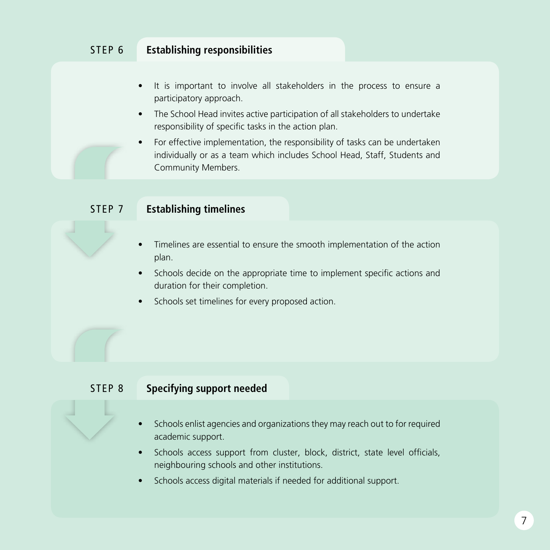#### **Establishing responsibilities** STEP 6

- It is important to involve all stakeholders in the process to ensure a participatory approach.
- The School Head invites active participation of all stakeholders to undertake responsibility of specific tasks in the action plan.
- For effective implementation, the responsibility of tasks can be undertaken individually or as a team which includes School Head, Staff, Students and Community Members.

#### **Establishing timelines** STEP 7

- Timelines are essential to ensure the smooth implementation of the action plan.
- Schools decide on the appropriate time to implement specific actions and duration for their completion.
- Schools set timelines for every proposed action.

#### **Specifying support needed** STEP 8

- Schools enlist agencies and organizations they may reach out to for required academic support.
- Schools access support from cluster, block, district, state level officials, neighbouring schools and other institutions.
- Schools access digital materials if needed for additional support.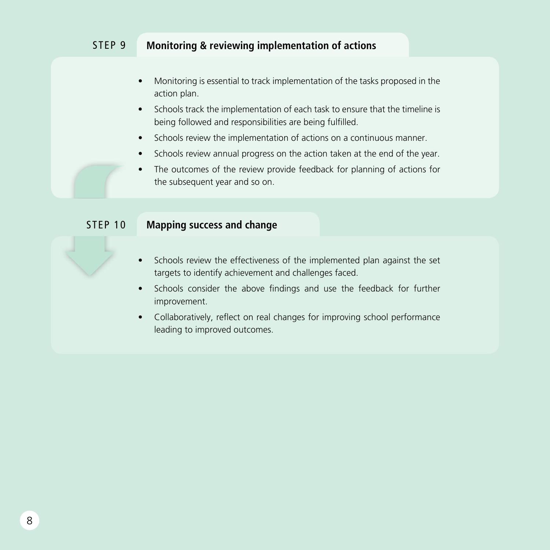#### **Monitoring & reviewing implementation of actions** STEP 9

- Monitoring is essential to track implementation of the tasks proposed in the action plan.
- Schools track the implementation of each task to ensure that the timeline is being followed and responsibilities are being fulfilled.
- Schools review the implementation of actions on a continuous manner.
- Schools review annual progress on the action taken at the end of the year.
- The outcomes of the review provide feedback for planning of actions for the subsequent year and so on.

#### **Mapping success and change** STEP 10

- Schools review the effectiveness of the implemented plan against the set targets to identify achievement and challenges faced.
- Schools consider the above findings and use the feedback for further improvement.
- Collaboratively, reflect on real changes for improving school performance leading to improved outcomes.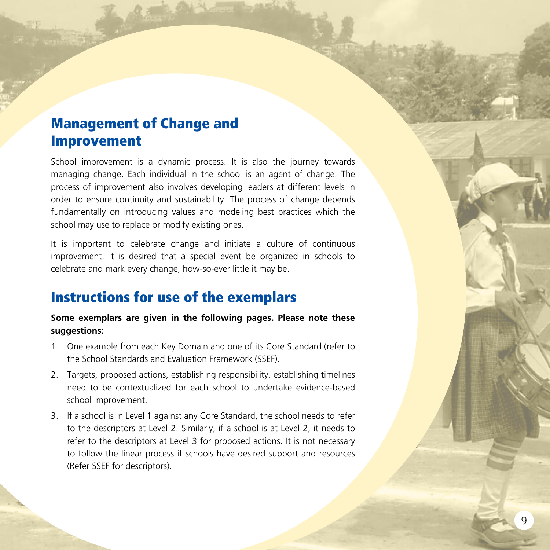# Management of Change and Improvement

School improvement is a dynamic process. It is also the journey towards managing change. Each individual in the school is an agent of change. The process of improvement also involves developing leaders at different levels in order to ensure continuity and sustainability. The process of change depends fundamentally on introducing values and modeling best practices which the school may use to replace or modify existing ones.

It is important to celebrate change and initiate a culture of continuous improvement. It is desired that a special event be organized in schools to celebrate and mark every change, how-so-ever little it may be.

# Instructions for use of the exemplars

### **Some exemplars are given in the following pages. Please note these suggestions:**

- 1. One example from each Key Domain and one of its Core Standard (refer to the School Standards and Evaluation Framework (SSEF).
- 2. Targets, proposed actions, establishing responsibility, establishing timelines need to be contextualized for each school to undertake evidence-based school improvement.
- 3. If a school is in Level 1 against any Core Standard, the school needs to refer to the descriptors at Level 2. Similarly, if a school is at Level 2, it needs to refer to the descriptors at Level 3 for proposed actions. It is not necessary to follow the linear process if schools have desired support and resources (Refer SSEF for descriptors).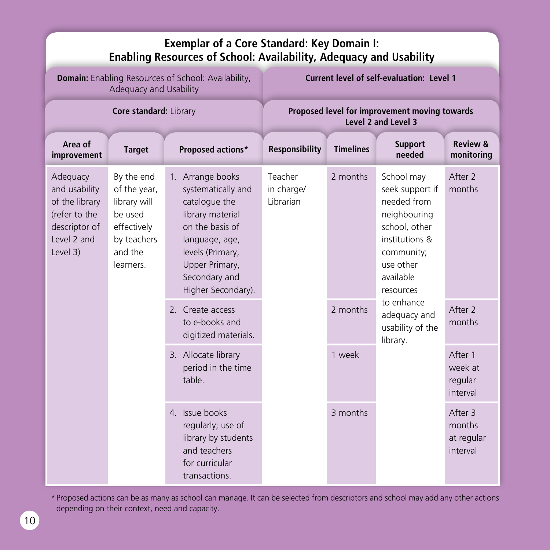| <b>Exemplar of a Core Standard: Key Domain I:</b><br>Enabling Resources of School: Availability, Adequacy and Usability |                                                                                                             |                                                                                                                                                                                               |                                    |                  |                                                                                                                                                                                                                    |                                             |  |  |
|-------------------------------------------------------------------------------------------------------------------------|-------------------------------------------------------------------------------------------------------------|-----------------------------------------------------------------------------------------------------------------------------------------------------------------------------------------------|------------------------------------|------------------|--------------------------------------------------------------------------------------------------------------------------------------------------------------------------------------------------------------------|---------------------------------------------|--|--|
|                                                                                                                         | Adequacy and Usability                                                                                      | <b>Domain:</b> Enabling Resources of School: Availability,                                                                                                                                    |                                    |                  | <b>Current level of self-evaluation: Level 1</b>                                                                                                                                                                   |                                             |  |  |
|                                                                                                                         | Core standard: Library                                                                                      |                                                                                                                                                                                               |                                    |                  | Proposed level for improvement moving towards<br>Level 2 and Level 3                                                                                                                                               |                                             |  |  |
| Area of<br>improvement                                                                                                  | <b>Target</b>                                                                                               | Proposed actions*                                                                                                                                                                             | <b>Responsibility</b>              | <b>Timelines</b> | <b>Support</b><br>needed                                                                                                                                                                                           | <b>Review &amp;</b><br>monitoring           |  |  |
| Adequacy<br>and usability<br>of the library<br>(refer to the<br>descriptor of<br>Level 2 and<br>Level 3)                | By the end<br>of the year,<br>library will<br>be used<br>effectively<br>by teachers<br>and the<br>learners. | 1. Arrange books<br>systematically and<br>catalogue the<br>library material<br>on the basis of<br>language, age,<br>levels (Primary,<br>Upper Primary,<br>Secondary and<br>Higher Secondary). | Teacher<br>in charge/<br>Librarian | 2 months         | School may<br>seek support if<br>needed from<br>neighbouring<br>school, other<br>institutions &<br>community;<br>use other<br>available<br>resources<br>to enhance<br>adequacy and<br>usability of the<br>library. | After 2<br>months                           |  |  |
|                                                                                                                         |                                                                                                             | 2. Create access<br>to e-books and<br>digitized materials.                                                                                                                                    |                                    | 2 months         |                                                                                                                                                                                                                    | After 2<br>months                           |  |  |
|                                                                                                                         |                                                                                                             | 3. Allocate library<br>period in the time<br>table.                                                                                                                                           |                                    | 1 week           | After 1<br>week at<br>regular<br>interval                                                                                                                                                                          |                                             |  |  |
|                                                                                                                         |                                                                                                             | 4. Issue books<br>regularly; use of<br>library by students<br>and teachers<br>for curricular<br>transactions.                                                                                 |                                    | 3 months         |                                                                                                                                                                                                                    | After 3<br>months<br>at regular<br>interval |  |  |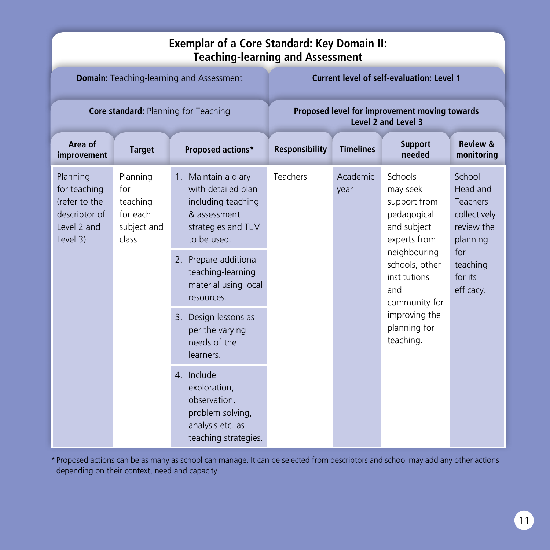|                                                                                       | <b>Exemplar of a Core Standard: Key Domain II:</b><br><b>Teaching-learning and Assessment</b> |                                                                                                                                                                                                                                                                                  |                       |                  |                                                                                                                                                                                                           |                                                                                                                            |  |  |
|---------------------------------------------------------------------------------------|-----------------------------------------------------------------------------------------------|----------------------------------------------------------------------------------------------------------------------------------------------------------------------------------------------------------------------------------------------------------------------------------|-----------------------|------------------|-----------------------------------------------------------------------------------------------------------------------------------------------------------------------------------------------------------|----------------------------------------------------------------------------------------------------------------------------|--|--|
| <b>Domain:</b> Teaching-learning and Assessment                                       |                                                                                               |                                                                                                                                                                                                                                                                                  |                       |                  | <b>Current level of self-evaluation: Level 1</b>                                                                                                                                                          |                                                                                                                            |  |  |
| Core standard: Planning for Teaching                                                  |                                                                                               |                                                                                                                                                                                                                                                                                  |                       |                  | Proposed level for improvement moving towards<br>Level 2 and Level 3                                                                                                                                      |                                                                                                                            |  |  |
| Area of<br>improvement                                                                | <b>Target</b>                                                                                 | Proposed actions*                                                                                                                                                                                                                                                                | <b>Responsibility</b> | <b>Timelines</b> | <b>Support</b><br>needed                                                                                                                                                                                  | <b>Review &amp;</b><br>monitoring                                                                                          |  |  |
| Planning<br>for teaching<br>(refer to the<br>descriptor of<br>Level 2 and<br>Level 3) | Planning<br>for<br>teaching<br>for each<br>subject and<br>class                               | 1. Maintain a diary<br>with detailed plan<br>including teaching<br>& assessment<br>strategies and TLM<br>to be used.<br>2. Prepare additional<br>teaching-learning<br>material using local<br>resources.<br>3. Design lessons as<br>per the varying<br>needs of the<br>learners. | Teachers              | Academic<br>year | Schools<br>may seek<br>support from<br>pedagogical<br>and subject<br>experts from<br>neighbouring<br>schools, other<br>institutions<br>and<br>community for<br>improving the<br>planning for<br>teaching. | School<br>Head and<br><b>Teachers</b><br>collectively<br>review the<br>planning<br>for<br>teaching<br>for its<br>efficacy. |  |  |
|                                                                                       |                                                                                               | 4. Include<br>exploration,<br>observation,<br>problem solving,<br>analysis etc. as<br>teaching strategies.                                                                                                                                                                       |                       |                  |                                                                                                                                                                                                           |                                                                                                                            |  |  |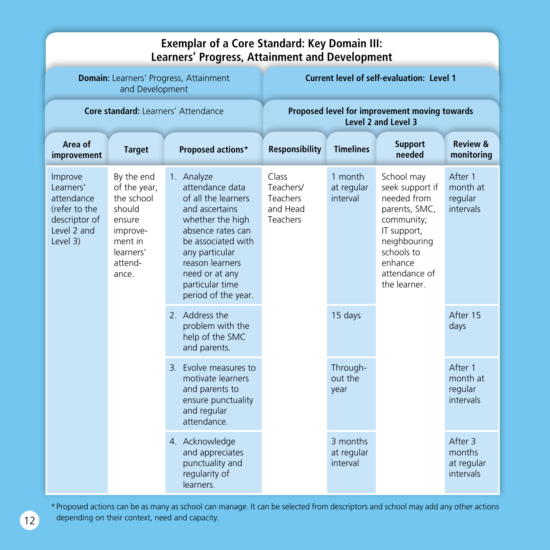| <b>Exemplar of a Core Standard: Key Domain III:</b><br>Learners' Progress, Attainment and Development |                                                                                                                      |                                                                                                                                                                                                                                        |                                                                             |                                    |                                                                                                                                                                      |                                              |  |
|-------------------------------------------------------------------------------------------------------|----------------------------------------------------------------------------------------------------------------------|----------------------------------------------------------------------------------------------------------------------------------------------------------------------------------------------------------------------------------------|-----------------------------------------------------------------------------|------------------------------------|----------------------------------------------------------------------------------------------------------------------------------------------------------------------|----------------------------------------------|--|
|                                                                                                       | and Development                                                                                                      | Domain: Learners' Progress, Attainment                                                                                                                                                                                                 |                                                                             |                                    | <b>Current level of self-evaluation: Level 1</b>                                                                                                                     |                                              |  |
| Core standard: Learners' Attendance                                                                   |                                                                                                                      |                                                                                                                                                                                                                                        | Proposed level for improvement moving towards<br><b>Level 2 and Level 3</b> |                                    |                                                                                                                                                                      |                                              |  |
| Area of<br>improvement                                                                                | <b>Target</b>                                                                                                        | <b>Proposed actions*</b>                                                                                                                                                                                                               | <b>Responsibility</b>                                                       | <b>Timelines</b>                   | <b>Support</b><br>needed                                                                                                                                             | <b>Review &amp;</b><br>monitoring            |  |
| Improve<br>Learners'<br>attendance<br>(refer to the<br>descriptor of<br>Level 2 and<br>Level 3)       | By the end<br>of the year,<br>the school<br>should<br>ensure<br>improve-<br>ment in<br>learners'<br>attend-<br>ance. | 1. Analyze<br>attendance data<br>of all the learners<br>and ascertains<br>whether the high<br>absence rates can<br>be associated with<br>any particular<br>reason learners<br>need or at any<br>particular time<br>period of the year. | Class<br>Teachers/<br><b>Teachers</b><br>and Head<br>Teachers               | 1 month<br>at regular<br>interval  | School may<br>seek support if<br>needed from<br>parents, SMC,<br>community;<br>IT support,<br>neighbouring<br>schools to<br>enhance<br>attendance of<br>the learner. | After 1<br>month at<br>regular<br>intervals  |  |
|                                                                                                       |                                                                                                                      | 2. Address the<br>problem with the<br>help of the SMC<br>and parents.                                                                                                                                                                  |                                                                             | 15 days                            |                                                                                                                                                                      | After 15<br>days                             |  |
|                                                                                                       | 3. Evolve measures to<br>motivate learners<br>and parents to<br>ensure punctuality<br>and regular<br>attendance.     |                                                                                                                                                                                                                                        | Through-<br>out the<br>year                                                 |                                    | After 1<br>month at<br>regular<br>intervals                                                                                                                          |                                              |  |
|                                                                                                       |                                                                                                                      | 4. Acknowledge<br>and appreciates<br>punctuality and<br>regularity of<br>learners.                                                                                                                                                     |                                                                             | 3 months<br>at regular<br>interval |                                                                                                                                                                      | After 3<br>months<br>at regular<br>intervals |  |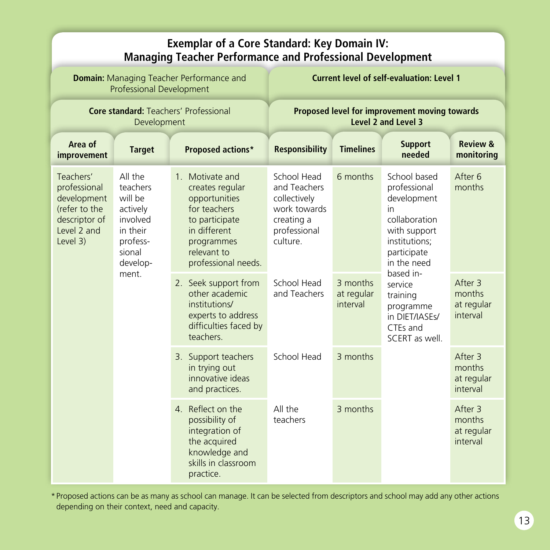| <b>Exemplar of a Core Standard: Key Domain IV:</b><br><b>Managing Teacher Performance and Professional Development</b> |                                                                                                                     |                                                                                                                                                           |                                                                                                       |                                                                                               |                                                                                                                                   |                                             |  |
|------------------------------------------------------------------------------------------------------------------------|---------------------------------------------------------------------------------------------------------------------|-----------------------------------------------------------------------------------------------------------------------------------------------------------|-------------------------------------------------------------------------------------------------------|-----------------------------------------------------------------------------------------------|-----------------------------------------------------------------------------------------------------------------------------------|---------------------------------------------|--|
|                                                                                                                        | <b>Professional Development</b>                                                                                     | <b>Domain:</b> Managing Teacher Performance and                                                                                                           |                                                                                                       |                                                                                               | <b>Current level of self-evaluation: Level 1</b>                                                                                  |                                             |  |
| <b>Core standard: Teachers' Professional</b><br>Development                                                            |                                                                                                                     |                                                                                                                                                           |                                                                                                       |                                                                                               | Proposed level for improvement moving towards<br><b>Level 2 and Level 3</b>                                                       |                                             |  |
| Area of<br>improvement                                                                                                 | <b>Target</b>                                                                                                       | <b>Proposed actions*</b>                                                                                                                                  | <b>Responsibility</b>                                                                                 | <b>Timelines</b>                                                                              | <b>Support</b><br>needed                                                                                                          | <b>Review &amp;</b><br>monitoring           |  |
| Teachers'<br>professional<br>development<br>(refer to the<br>descriptor of<br>Level 2 and<br>Level 3)                  | All the<br>teachers<br>will be<br>actively<br>involved<br>in their<br>profess-<br>sional<br>develop-                | 1. Motivate and<br>creates regular<br>opportunities<br>for teachers<br>to participate<br>in different<br>programmes<br>relevant to<br>professional needs. | School Head<br>and Teachers<br>collectively<br>work towards<br>creating a<br>professional<br>culture. | 6 months                                                                                      | School based<br>professional<br>development<br>in<br>collaboration<br>with support<br>institutions;<br>participate<br>in the need | After 6<br>months                           |  |
| ment.                                                                                                                  | 2. Seek support from<br>other academic<br>institutions/<br>experts to address<br>difficulties faced by<br>teachers. | School Head<br>and Teachers                                                                                                                               | 3 months<br>at regular<br>interval                                                                    | based in-<br>service<br>training<br>programme<br>in DIET/IASEs/<br>CTEs and<br>SCERT as well. | After 3<br>months<br>at regular<br>interval                                                                                       |                                             |  |
|                                                                                                                        | 3. Support teachers<br>in trying out<br>innovative ideas<br>and practices.                                          | School Head                                                                                                                                               | 3 months                                                                                              |                                                                                               | After 3<br>months<br>at regular<br>interval                                                                                       |                                             |  |
|                                                                                                                        |                                                                                                                     | 4. Reflect on the<br>possibility of<br>integration of<br>the acquired<br>knowledge and<br>skills in classroom<br>practice.                                | All the<br>teachers                                                                                   | 3 months                                                                                      |                                                                                                                                   | After 3<br>months<br>at regular<br>interval |  |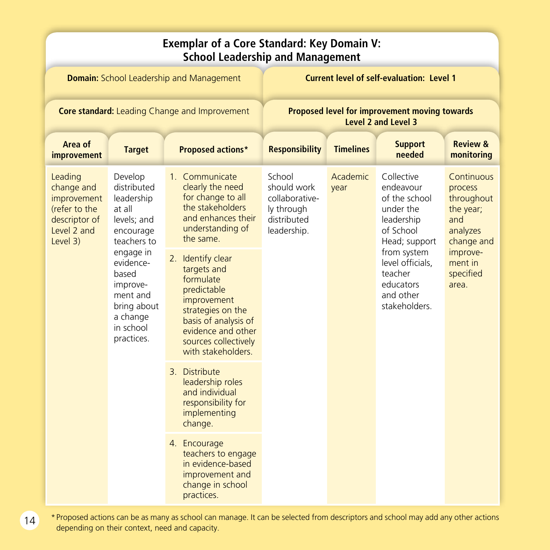| <b>Exemplar of a Core Standard: Key Domain V:</b><br><b>School Leadership and Management</b>      |                                                                                                                                                                                                            |                                                                                                                                                                                                                                                                                                                                                                                                                                                                                                                                                               |                                                                                     |                  |                                                                                                                                                                                            |                                                                                                                                |  |
|---------------------------------------------------------------------------------------------------|------------------------------------------------------------------------------------------------------------------------------------------------------------------------------------------------------------|---------------------------------------------------------------------------------------------------------------------------------------------------------------------------------------------------------------------------------------------------------------------------------------------------------------------------------------------------------------------------------------------------------------------------------------------------------------------------------------------------------------------------------------------------------------|-------------------------------------------------------------------------------------|------------------|--------------------------------------------------------------------------------------------------------------------------------------------------------------------------------------------|--------------------------------------------------------------------------------------------------------------------------------|--|
|                                                                                                   | <b>Domain:</b> School Leadership and Management                                                                                                                                                            |                                                                                                                                                                                                                                                                                                                                                                                                                                                                                                                                                               |                                                                                     |                  | <b>Current level of self-evaluation: Level 1</b>                                                                                                                                           |                                                                                                                                |  |
|                                                                                                   |                                                                                                                                                                                                            | <b>Core standard:</b> Leading Change and Improvement                                                                                                                                                                                                                                                                                                                                                                                                                                                                                                          |                                                                                     |                  | <b>Proposed level for improvement moving towards</b><br><b>Level 2 and Level 3</b>                                                                                                         |                                                                                                                                |  |
| Area of<br>improvement                                                                            | <b>Target</b>                                                                                                                                                                                              | <b>Proposed actions*</b>                                                                                                                                                                                                                                                                                                                                                                                                                                                                                                                                      | <b>Responsibility</b>                                                               | <b>Timelines</b> | <b>Support</b><br>needed                                                                                                                                                                   | <b>Review &amp;</b><br>monitoring                                                                                              |  |
| Leading<br>change and<br>improvement<br>(refer to the<br>descriptor of<br>Level 2 and<br>Level 3) | Develop<br>distributed<br>leadership<br>at all<br>levels; and<br>encourage<br>teachers to<br>engage in<br>evidence-<br>based<br>improve-<br>ment and<br>bring about<br>a change<br>in school<br>practices. | 1. Communicate<br>clearly the need<br>for change to all<br>the stakeholders<br>and enhances their<br>understanding of<br>the same.<br>Identify clear<br>2.<br>targets and<br>formulate<br>predictable<br>improvement<br>strategies on the<br>basis of analysis of<br>evidence and other<br>sources collectively<br>with stakeholders.<br>3. Distribute<br>leadership roles<br>and individual<br>responsibility for<br>implementing<br>change.<br>4. Encourage<br>teachers to engage<br>in evidence-based<br>improvement and<br>change in school<br>practices. | School<br>should work<br>collaborative-<br>ly through<br>distributed<br>leadership. | Academic<br>year | Collective<br>endeavour<br>of the school<br>under the<br>leadership<br>of School<br>Head; support<br>from system<br>level officials,<br>teacher<br>educators<br>and other<br>stakeholders. | Continuous<br>process<br>throughout<br>the year;<br>and<br>analyzes<br>change and<br>improve-<br>ment in<br>specified<br>area. |  |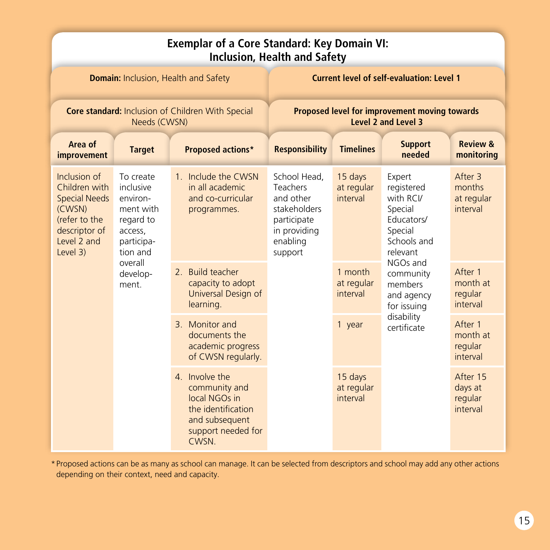| <b>Exemplar of a Core Standard: Key Domain VI:</b><br><b>Inclusion, Health and Safety</b>                                    |                                                                                                                                   |                                                                                                                         |                                                                                                             |                                                               |                                                                                                  |                                            |                                             |
|------------------------------------------------------------------------------------------------------------------------------|-----------------------------------------------------------------------------------------------------------------------------------|-------------------------------------------------------------------------------------------------------------------------|-------------------------------------------------------------------------------------------------------------|---------------------------------------------------------------|--------------------------------------------------------------------------------------------------|--------------------------------------------|---------------------------------------------|
| <b>Domain: Inclusion, Health and Safety</b>                                                                                  |                                                                                                                                   |                                                                                                                         |                                                                                                             |                                                               | <b>Current level of self-evaluation: Level 1</b>                                                 |                                            |                                             |
| Core standard: Inclusion of Children With Special<br>Needs (CWSN)                                                            |                                                                                                                                   |                                                                                                                         |                                                                                                             |                                                               | Proposed level for improvement moving towards<br><b>Level 2 and Level 3</b>                      |                                            |                                             |
| Area of<br>improvement                                                                                                       | <b>Target</b>                                                                                                                     | <b>Proposed actions*</b>                                                                                                | <b>Responsibility</b>                                                                                       | <b>Timelines</b>                                              | <b>Support</b><br>needed                                                                         | <b>Review &amp;</b><br>monitoring          |                                             |
| Inclusion of<br>Children with<br><b>Special Needs</b><br>(CWSN)<br>(refer to the<br>descriptor of<br>Level 2 and<br>Level 3) | To create<br>inclusive<br>environ-<br>ment with<br>regard to<br>access,<br>participa-<br>tion and<br>overall<br>develop-<br>ment. | 1. Include the CWSN<br>in all academic<br>and co-curricular<br>programmes.                                              | School Head,<br>Teachers<br>and other<br>stakeholders<br>participate<br>in providing<br>enabling<br>support | 15 days<br>at regular<br>interval                             | Expert<br>registered<br>with RCI/<br>Special<br>Educators/<br>Special<br>Schools and<br>relevant |                                            | After 3<br>months<br>at regular<br>interval |
|                                                                                                                              |                                                                                                                                   | 2. Build teacher<br>capacity to adopt<br>Universal Design of<br>learning.                                               | 1 month<br>at regular<br>interval                                                                           | NGOs and<br>community<br>members<br>and agency<br>for issuing | After 1<br>month at<br>regular<br>interval                                                       |                                            |                                             |
|                                                                                                                              |                                                                                                                                   |                                                                                                                         | 3. Monitor and<br>documents the<br>academic progress<br>of CWSN regularly.                                  |                                                               | 1 year                                                                                           | disability<br>certificate                  | After 1<br>month at<br>regular<br>interval  |
|                                                                                                                              |                                                                                                                                   | 4. Involve the<br>community and<br>local NGOs in<br>the identification<br>and subsequent<br>support needed for<br>CWSN. |                                                                                                             | 15 days<br>at regular<br>interval                             |                                                                                                  | After 15<br>days at<br>regular<br>interval |                                             |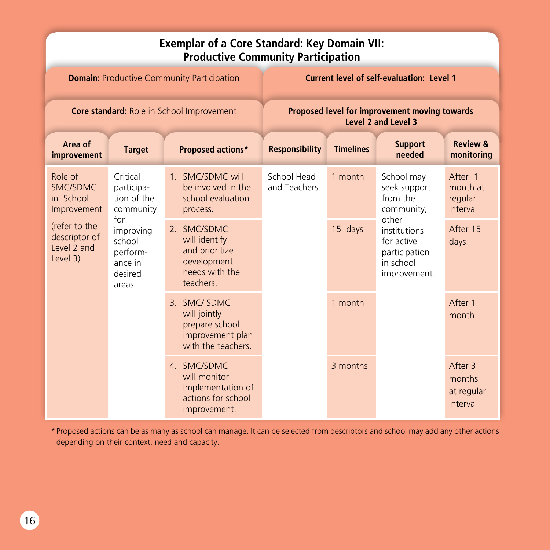| <b>Exemplar of a Core Standard: Key Domain VII:</b><br><b>Productive Community Participation</b> |                                                                        |                                                                                         |                             |                  |                                                                             |                                             |                                                                                              |  |         |                                                                                   |                  |
|--------------------------------------------------------------------------------------------------|------------------------------------------------------------------------|-----------------------------------------------------------------------------------------|-----------------------------|------------------|-----------------------------------------------------------------------------|---------------------------------------------|----------------------------------------------------------------------------------------------|--|---------|-----------------------------------------------------------------------------------|------------------|
| <b>Domain:</b> Productive Community Participation                                                |                                                                        |                                                                                         |                             |                  | <b>Current level of self-evaluation: Level 1</b>                            |                                             |                                                                                              |  |         |                                                                                   |                  |
| Core standard: Role in School Improvement                                                        |                                                                        |                                                                                         |                             |                  | Proposed level for improvement moving towards<br><b>Level 2 and Level 3</b> |                                             |                                                                                              |  |         |                                                                                   |                  |
| Area of<br>improvement                                                                           | <b>Target</b>                                                          | <b>Proposed actions*</b>                                                                | <b>Responsibility</b>       | <b>Timelines</b> | <b>Support</b><br>needed                                                    | <b>Review &amp;</b><br>monitoring           |                                                                                              |  |         |                                                                                   |                  |
| Role of<br>SMC/SDMC<br>in School<br>Improvement                                                  | Critical<br>participa-<br>tion of the<br>community                     | 1. SMC/SDMC will<br>be involved in the<br>school evaluation<br>process.                 | School Head<br>and Teachers | 1 month          | School may<br>seek support<br>from the<br>community,                        | After 1<br>month at<br>regular<br>interval  |                                                                                              |  |         |                                                                                   |                  |
| (refer to the<br>descriptor of<br>Level 2 and<br>Level 3)                                        | for<br>improving<br>school<br>perform-<br>ance in<br>desired<br>areas. |                                                                                         |                             |                  |                                                                             |                                             | 2. SMC/SDMC<br>will identify<br>and prioritize<br>development<br>needs with the<br>teachers. |  | 15 days | other<br>institutions<br>for active<br>participation<br>in school<br>improvement. | After 15<br>days |
|                                                                                                  |                                                                        | 3. SMC/SDMC<br>will jointly<br>prepare school<br>improvement plan<br>with the teachers. |                             | 1 month          |                                                                             | After 1<br>month                            |                                                                                              |  |         |                                                                                   |                  |
|                                                                                                  |                                                                        | 4. SMC/SDMC<br>will monitor<br>implementation of<br>actions for school<br>improvement.  |                             | 3 months         |                                                                             | After 3<br>months<br>at regular<br>interval |                                                                                              |  |         |                                                                                   |                  |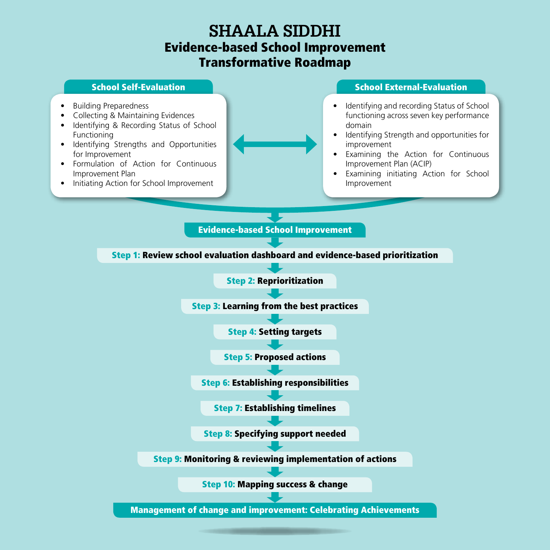## **SHAALA SIDDHI** Evidence-based School Improvement Transformative Roadmap

- Building Preparedness
- Collecting & Maintaining Evidences
- • Identifying & Recording Status of School Functioning
- • Identifying Strengths and Opportunities for Improvement
- • Formulation of Action for Continuous Improvement Plan
- Initiating Action for School Improvement

### School Self-Evaluation School External-Evaluation School External-Evaluation

- Identifying and recording Status of School functioning across seven key performance domain
- • Identifying Strength and opportunities for improvement
- • Examining the Action for Continuous Improvement Plan (ACIP)
- • Examining initiating Action for School Improvement

Evidence-based School Improvement Step 1: Review school evaluation dashboard and evidence-based prioritization

Step 2: Reprioritization

Step 3: Learning from the best practices

Step 4: Setting targets

Step 5: Proposed actions

Step 6: Establishing responsibilities

Step 7: Establishing timelines

Step 8: Specifying support needed

Step 9: Monitoring & reviewing implementation of actions

Step 10: Mapping success & change

Management of change and improvement: Celebrating Achievements